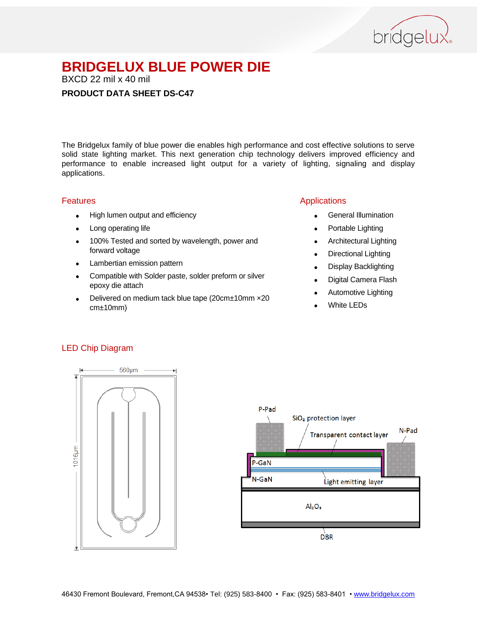

BXCD 22 mil x 40 mil

#### **PRODUCT DATA SHEET DS-C47**

The Bridgelux family of blue power die enables high performance and cost effective solutions to serve solid state lighting market. This next generation chip technology delivers improved efficiency and performance to enable increased light output for a variety of lighting, signaling and display applications.

#### Features

- High lumen output and efficiency
- Long operating life
- 100% Tested and sorted by wavelength, power and forward voltage
- Lambertian emission pattern
- Compatible with Solder paste, solder preform or silver epoxy die attach
- Delivered on medium tack blue tape (20cm±10mm ×20 cm±10mm)

#### Applications

- General Illumination
- Portable Lighting
- Architectural Lighting
- Directional Lighting
- Display Backlighting
- Digital Camera Flash
- Automotive Lighting
- White LEDs

#### LED Chip Diagram



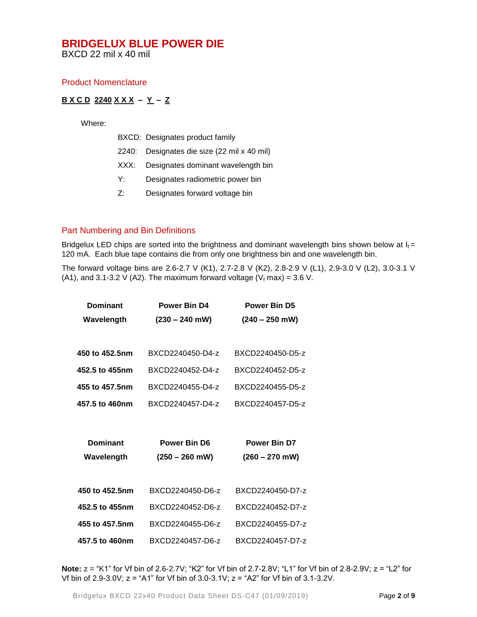BXCD 22 mil x 40 mil

#### Product Nomenclature

#### **B X C D 2240 X X X – Y – Z**

Where:

|    | BXCD: Designates product family             |
|----|---------------------------------------------|
|    | 2240: Designates die size (22 mil x 40 mil) |
|    | XXX: Designates dominant wavelength bin     |
| Y: | Designates radiometric power bin            |

Z: Designates forward voltage bin

#### Part Numbering and Bin Definitions

Bridgelux LED chips are sorted into the brightness and dominant wavelength bins shown below at  $I_f =$ 120 mA. Each blue tape contains die from only one brightness bin and one wavelength bin.

The forward voltage bins are 2.6-2.7 V (K1), 2.7-2.8 V (K2), 2.8-2.9 V (L1), 2.9-3.0 V (L2), 3.0-3.1 V (A1), and 3.1-3.2 V (A2). The maximum forward voltage ( $V_f$  max) = 3.6 V.

| <b>Dominant</b> | <b>Power Bin D4</b> | <b>Power Bin D5</b> |  |
|-----------------|---------------------|---------------------|--|
| Wavelength      | $(230 - 240$ mW)    | $(240 - 250$ mW)    |  |
|                 |                     |                     |  |
| 450 to 452.5nm  | BXCD2240450-D4-z    | BXCD2240450-D5-z    |  |
| 452.5 to 455nm  | BXCD2240452-D4-z    | BXCD2240452-D5-z    |  |
| 455 to 457.5nm  | BXCD2240455-D4-z    | BXCD2240455-D5-z    |  |
| 457.5 to 460nm  | BXCD2240457-D4-z    | BXCD2240457-D5-z    |  |
|                 |                     |                     |  |
|                 |                     |                     |  |
| <b>Dominant</b> | <b>Power Bin D6</b> | <b>Power Bin D7</b> |  |
| Wavelength      | $(250 - 260$ mW)    | $(260 - 270$ mW)    |  |
|                 |                     |                     |  |
| 450 to 452.5nm  | BXCD2240450-D6-z    | BXCD2240450-D7-z    |  |
| 452.5 to 455nm  | BXCD2240452-D6-z    | BXCD2240452-D7-z    |  |
| 455 to 457.5nm  | BXCD2240455-D6-z    | BXCD2240455-D7-z    |  |

**Note:** z = "K1" for Vf bin of 2.6-2.7V; "K2" for Vf bin of 2.7-2.8V; "L1" for Vf bin of 2.8-2.9V; z = "L2" for Vf bin of 2.9-3.0V; z = "A1" for Vf bin of 3.0-3.1V; z = "A2" for Vf bin of 3.1-3.2V.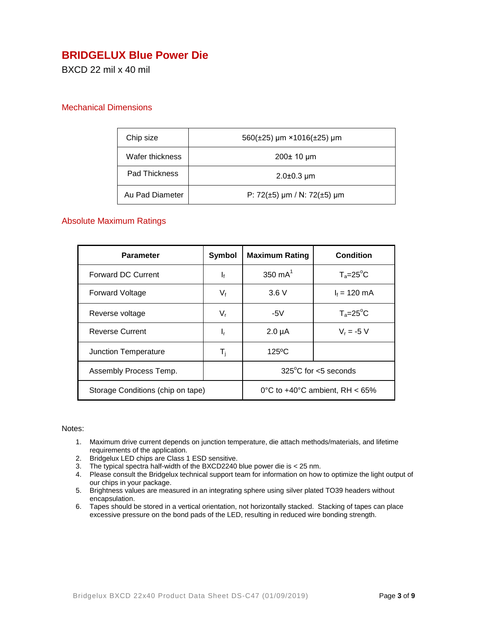## **BRIDGELUX Blue Power Die**

BXCD 22 mil x 40 mil

#### Mechanical Dimensions

| Chip size            | $560(\pm 25)$ µm × 1016( $\pm 25$ ) µm |
|----------------------|----------------------------------------|
| Wafer thickness      | 200± 10 µm                             |
| <b>Pad Thickness</b> | $2.0 \pm 0.3 \mu m$                    |
| Au Pad Diameter      | P: $72(\pm 5)$ µm / N: $72(\pm 5)$ µm  |

#### Absolute Maximum Ratings

| <b>Parameter</b>                  | <b>Symbol</b>                            | <b>Maximum Rating</b>          | <b>Condition</b>   |
|-----------------------------------|------------------------------------------|--------------------------------|--------------------|
| <b>Forward DC Current</b>         | $\mathbf{I}_{\text{f}}$                  | 350 $mA^1$                     | $T_a = 25^\circ C$ |
| <b>Forward Voltage</b>            | $V_{f}$                                  | 3.6V                           | $I_f = 120$ mA     |
| Reverse voltage                   | V,                                       | $-5V$                          | $T_a = 25^\circ C$ |
| <b>Reverse Current</b>            | ı,                                       | $2.0 \mu A$                    | $V_r = -5 V$       |
| Junction Temperature              | T <sub>i</sub>                           | 125°C                          |                    |
| Assembly Process Temp.            |                                          | $325^{\circ}$ C for <5 seconds |                    |
| Storage Conditions (chip on tape) | 0°C to $+40^{\circ}$ C ambient. RH < 65% |                                |                    |

#### Notes:

- 1. Maximum drive current depends on junction temperature, die attach methods/materials, and lifetime requirements of the application.
- 2. Bridgelux LED chips are Class 1 ESD sensitive.
- 3. The typical spectra half-width of the BXCD2240 blue power die is < 25 nm.
- 4. Please consult the Bridgelux technical support team for information on how to optimize the light output of our chips in your package.
- 5. Brightness values are measured in an integrating sphere using silver plated TO39 headers without encapsulation.
- 6. Tapes should be stored in a vertical orientation, not horizontally stacked. Stacking of tapes can place excessive pressure on the bond pads of the LED, resulting in reduced wire bonding strength.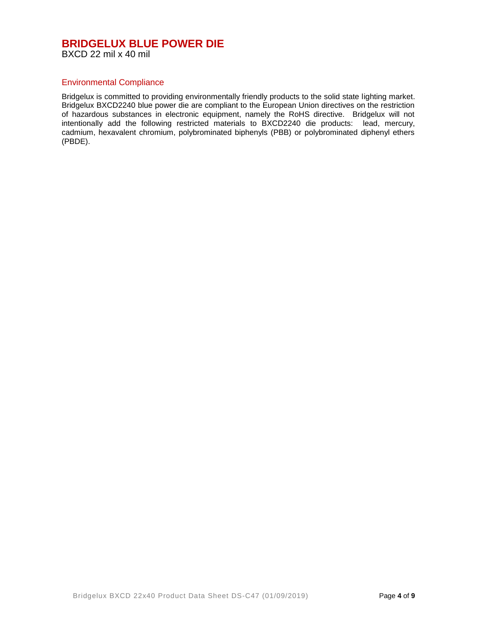#### **BRIDGELUX BLUE POWER DIE** BXCD 22 mil x 40 mil

#### Environmental Compliance

Bridgelux is committed to providing environmentally friendly products to the solid state lighting market. Bridgelux BXCD2240 blue power die are compliant to the European Union directives on the restriction of hazardous substances in electronic equipment, namely the RoHS directive. Bridgelux will not intentionally add the following restricted materials to BXCD2240 die products: lead, mercury, cadmium, hexavalent chromium, polybrominated biphenyls (PBB) or polybrominated diphenyl ethers (PBDE).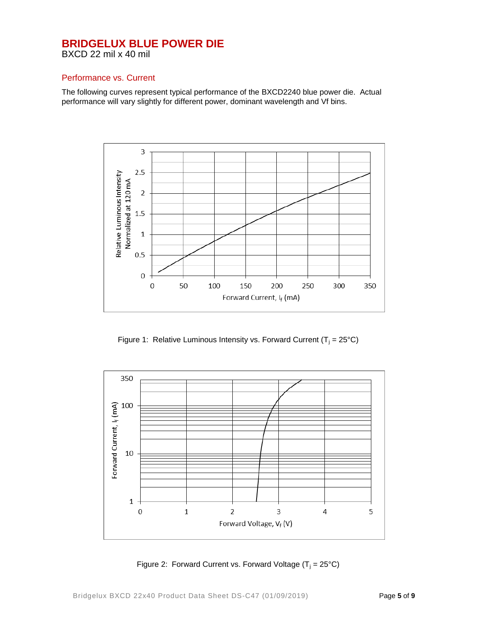BXCD 22 mil x 40 mil

#### Performance vs. Current

The following curves represent typical performance of the BXCD2240 blue power die. Actual performance will vary slightly for different power, dominant wavelength and Vf bins.



Figure 1: Relative Luminous Intensity vs. Forward Current ( $T_i = 25^{\circ}C$ )



Figure 2: Forward Current vs. Forward Voltage  $(T_i = 25^{\circ}C)$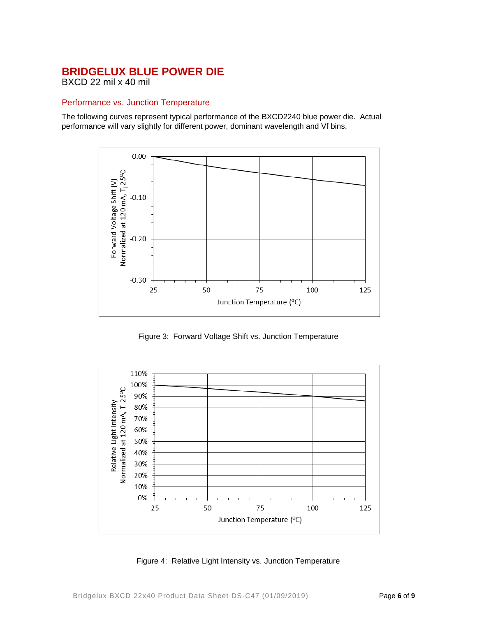BXCD 22 mil x 40 mil

#### Performance vs. Junction Temperature

The following curves represent typical performance of the BXCD2240 blue power die. Actual performance will vary slightly for different power, dominant wavelength and Vf bins.



Figure 3: Forward Voltage Shift vs. Junction Temperature



Figure 4: Relative Light Intensity vs. Junction Temperature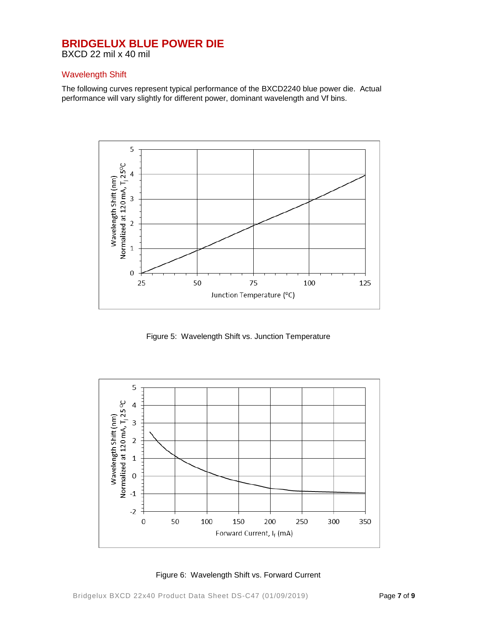BXCD 22 mil x 40 mil

#### Wavelength Shift

The following curves represent typical performance of the BXCD2240 blue power die. Actual performance will vary slightly for different power, dominant wavelength and Vf bins.



Figure 5: Wavelength Shift vs. Junction Temperature



Figure 6: Wavelength Shift vs. Forward Current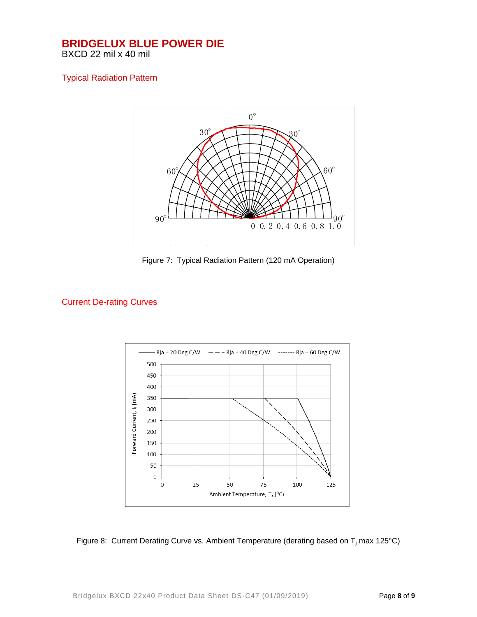#### **BRIDGELUX BLUE POWER DIE** BXCD 22 mil x 40 mil

### Typical Radiation Pattern



Figure 7: Typical Radiation Pattern (120 mA Operation)

### Current De-rating Curves



Figure 8: Current Derating Curve vs. Ambient Temperature (derating based on T<sub>i</sub> max 125°C)